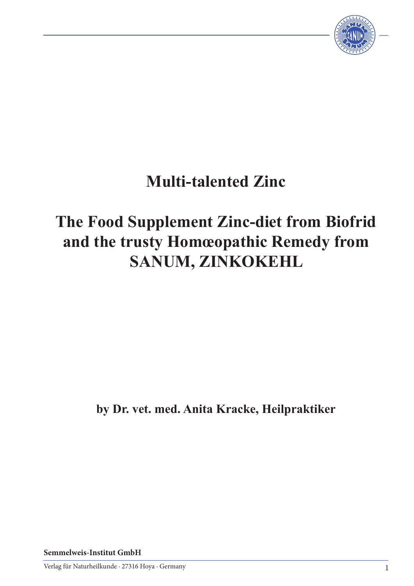

# **Multi-talented Zinc**

# **The Food Supplement Zinc-diet from Biofrid and the trusty Homœopathic Remedy from SANUM, ZINKOKEHL**

**by Dr. vet. med. Anita Kracke, Heilpraktiker**

**Semmelweis-Institut GmbH**

Verlag für Naturheilkunde · 27316 Hoya · Germany 1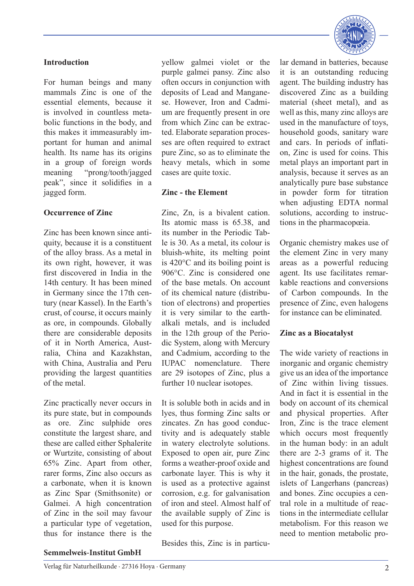# **Introduction**

For human beings and many mammals Zinc is one of the essential elements, because it is involved in countless metabolic functions in the body, and this makes it immeasurably important for human and animal health. Its name has its origins in a group of foreign words meaning "prong/tooth/jagged peak", since it solidifies in a jagged form.

## **Occurrence of Zinc**

Zinc has been known since antiquity, because it is a constituent of the alloy brass. As a metal in its own right, however, it was first discovered in India in the 14th century. It has been mined in Germany since the 17th century (near Kassel). In the Earth's crust, of course, it occurs mainly as ore, in compounds. Globally there are considerable deposits of it in North America, Australia, China and Kazakhstan, with China, Australia and Peru providing the largest quantities of the metal.

Zinc practically never occurs in its pure state, but in compounds as ore. Zinc sulphide ores constitute the largest share, and these are called either Sphalerite or Wurtzite, consisting of about 65% Zinc. Apart from other, rarer forms, Zinc also occurs as a carbonate, when it is known as Zinc Spar (Smithsonite) or Galmei. A high concentration of Zinc in the soil may favour a particular type of vegetation, thus for instance there is the yellow galmei violet or the purple galmei pansy. Zinc also often occurs in conjunction with deposits of Lead and Manganese. However, Iron and Cadmium are frequently present in ore from which Zinc can be extracted. Elaborate separation processes are often required to extract pure Zinc, so as to eliminate the heavy metals, which in some cases are quite toxic.

## **Zinc - the Element**

Zinc, Zn, is a bivalent cation. Its atomic mass is 65.38, and its number in the Periodic Table is 30. As a metal, its colour is bluish-white, its melting point is 420°C and its boiling point is 906°C. Zinc is considered one of the base metals. On account of its chemical nature (distribution of electrons) and properties it is very similar to the earthalkali metals, and is included in the 12th group of the Periodic System, along with Mercury and Cadmium, according to the IUPAC nomenclature. There are 29 isotopes of Zinc, plus a further 10 nuclear isotopes.

It is soluble both in acids and in lyes, thus forming Zinc salts or zincates. Zn has good conductivity and is adequately stable in watery electrolyte solutions. Exposed to open air, pure Zinc forms a weather-proof oxide and carbonate layer. This is why it is used as a protective against corrosion, e.g. for galvanisation of iron and steel. Almost half of the available supply of Zinc is used for this purpose.

lar demand in batteries, because it is an outstanding reducing agent. The building industry has discovered Zinc as a building material (sheet metal), and as well as this, many zinc alloys are used in the manufacture of toys, household goods, sanitary ware and cars. In periods of inflation, Zinc is used for coins. This metal plays an important part in analysis, because it serves as an analytically pure base substance in powder form for titration when adjusting EDTA normal solutions, according to instructions in the pharmacopœia.

Organic chemistry makes use of the element Zinc in very many areas as a powerful reducing agent. Its use facilitates remarkable reactions and conversions of Carbon compounds. In the presence of Zinc, even halogens for instance can be eliminated.

# **Zinc as a Biocatalyst**

The wide variety of reactions in inorganic and organic chemistry give us an idea of the importance of Zinc within living tissues. And in fact it is essential in the body on account of its chemical and physical properties. After Iron, Zinc is the trace element which occurs most frequently in the human body: in an adult there are 2-3 grams of it. The highest concentrations are found in the hair, gonads, the prostate, islets of Langerhans (pancreas) and bones. Zinc occupies a central role in a multitude of reactions in the intermediate cellular metabolism. For this reason we need to mention metabolic pro-

Besides this, Zinc is in particu-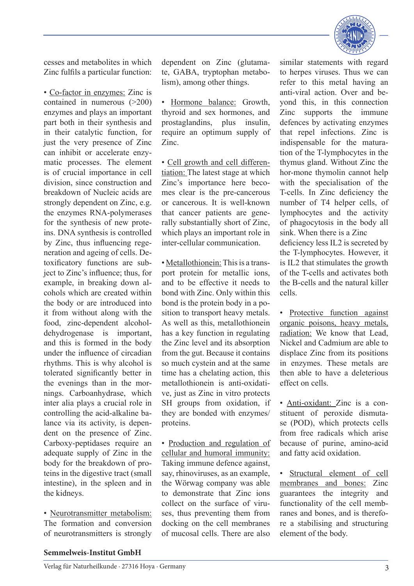

cesses and metabolites in which Zinc fulfils a particular function:

• Co-factor in enzymes: Zinc is contained in numerous (>200) enzymes and plays an important part both in their synthesis and in their catalytic function, for just the very presence of Zinc can inhibit or accelerate enzymatic processes. The element is of crucial importance in cell division, since construction and breakdown of Nucleic acids are strongly dependent on Zinc, e.g. the enzymes RNA-polymerases for the synthesis of new proteins. DNA synthesis is controlled by Zinc, thus influencing regeneration and ageing of cells. Detoxificatory functions are subject to Zinc's influence; thus, for example, in breaking down alcohols which are created within the body or are introduced into it from without along with the food, zinc-dependent alcoholdehydrogenase is important, and this is formed in the body under the influence of circadian rhythms. This is why alcohol is tolerated significantly better in the evenings than in the mornings. Carboanhydrase, which inter alia plays a crucial role in controlling the acid-alkaline balance via its activity, is dependent on the presence of Zinc. Carboxy-peptidases require an adequate supply of Zinc in the body for the breakdown of proteins in the digestive tract (small intestine), in the spleen and in the kidneys.

• Neurotransmitter metabolism: The formation and conversion of neurotransmitters is strongly dependent on Zinc (glutamate, GABA, tryptophan metabolism), among other things.

• Hormone balance: Growth, thyroid and sex hormones, and prostaglandins, plus insulin, require an optimum supply of Zinc.

• Cell growth and cell differentiation: The latest stage at which Zinc's importance here becomes clear is the pre-cancerous or cancerous. It is well-known that cancer patients are generally substantially short of Zinc, which plays an important role in inter-cellular communication.

• Metallothionein: This is a transport protein for metallic ions, and to be effective it needs to bond with Zinc. Only within this bond is the protein body in a position to transport heavy metals. As well as this, metallothionein has a key function in regulating the Zinc level and its absorption from the gut. Because it contains so much cystein and at the same time has a chelating action, this metallothionein is anti-oxidative, just as Zinc in vitro protects SH groups from oxidation, if they are bonded with enzymes/ proteins.

• Production and regulation of cellular and humoral immunity: Taking immune defence against, say, rhinoviruses, as an example, the Wörwag company was able to demonstrate that Zinc ions collect on the surface of viruses, thus preventing them from docking on the cell membranes of mucosal cells. There are also

similar statements with regard to herpes viruses. Thus we can refer to this metal having an anti-viral action. Over and beyond this, in this connection Zinc supports the immune defences by activating enzymes that repel infections. Zinc is indispensable for the maturation of the T-lymphocytes in the thymus gland. Without Zinc the hor-mone thymolin cannot help with the specialisation of the T-cells. In Zinc deficiency the number of T4 helper cells, of lymphocytes and the activity of phagocytosis in the body all sink. When there is a Zinc deficiency less IL2 is secreted by the T-lymphocytes. However, it is IL2 that stimulates the growth of the T-cells and activates both the B-cells and the natural killer cells.

• Protective function against organic poisons, heavy metals, radiation: We know that Lead, Nickel and Cadmium are able to displace Zinc from its positions in enzymes. These metals are then able to have a deleterious effect on cells.

• Anti-oxidant: Zinc is a constituent of peroxide dismutase (POD), which protects cells from free radicals which arise because of purine, amino-acid and fatty acid oxidation.

• Structural element of cell membranes and bones: Zinc guarantees the integrity and functionality of the cell membranes and bones, and is therefore a stabilising and structuring element of the body.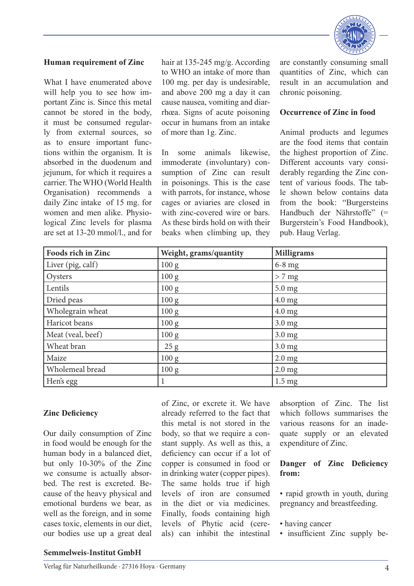

#### **Human requirement of Zinc**

What I have enumerated above will help you to see how important Zinc is. Since this metal cannot be stored in the body, it must be consumed regularly from external sources, so as to ensure important functions within the organism. It is absorbed in the duodenum and jejunum, for which it requires a carrier. The WHO (World Health Organisation) recommends a daily Zinc intake of 15 mg. for women and men alike. Physiological Zinc levels for plasma are set at 13-20 mmol/l., and for

hair at 135-245 mg/g. According to WHO an intake of more than 100 mg. per day is undesirable, and above 200 mg a day it can cause nausea, vomiting and diarrhœa. Signs of acute poisoning occur in humans from an intake of more than 1g. Zinc.

In some animals likewise, immoderate (involuntary) consumption of Zinc can result in poisonings. This is the case with parrots, for instance, whose cages or aviaries are closed in with zinc-covered wire or bars. As these birds hold on with their beaks when climbing up, they are constantly consuming small quantities of Zinc, which can result in an accumulation and chronic poisoning.

#### **Occurrence of Zinc in food**

Animal products and legumes are the food items that contain the highest proportion of Zinc. Different accounts vary considerably regarding the Zinc content of various foods. The table shown below contains data from the book: "Burgersteins Handbuch der Nährstoffe" (= Burgerstein's Food Handbook), pub. Haug Verlag.

| Foods rich in Zinc | Weight, grams/quantity | <b>Milligrams</b> |
|--------------------|------------------------|-------------------|
| Liver (pig, calf)  | 100 g                  | $6-8$ mg          |
| Oysters            | 100 g                  | $> 7$ mg          |
| Lentils            | 100 g                  | $5.0$ mg          |
| Dried peas         | 100 g                  | $4.0$ mg          |
| Wholegrain wheat   | 100 g                  | $4.0 \text{ mg}$  |
| Haricot beans      | 100 g                  | $3.0$ mg          |
| Meat (veal, beef)  | 100 g                  | $3.0$ mg          |
| Wheat bran         | 25 g                   | $3.0$ mg          |
| Maize              | 100 g                  | $2.0$ mg          |
| Wholemeal bread    | 100 g                  | $2.0$ mg          |
| Hen's egg          |                        | $1.5 \text{ mg}$  |

#### **Zinc Deficiency**

Our daily consumption of Zinc in food would be enough for the human body in a balanced diet, but only 10-30% of the Zinc we consume is actually absorbed. The rest is excreted. Because of the heavy physical and emotional burdens we bear, as well as the foreign, and in some cases toxic, elements in our diet, our bodies use up a great deal of Zinc, or excrete it. We have already referred to the fact that this metal is not stored in the body, so that we require a constant supply. As well as this, a deficiency can occur if a lot of copper is consumed in food or in drinking water (copper pipes). The same holds true if high levels of iron are consumed in the diet or via medicines. Finally, foods containing high levels of Phytic acid (cereals) can inhibit the intestinal

absorption of Zinc. The list which follows summarises the various reasons for an inadequate supply or an elevated expenditure of Zinc.

#### **Danger of Zinc Deficiency from:**

• rapid growth in youth, during pregnancy and breastfeeding.

- having cancer
- insufficient Zinc supply be-

#### **Semmelweis-Institut GmbH**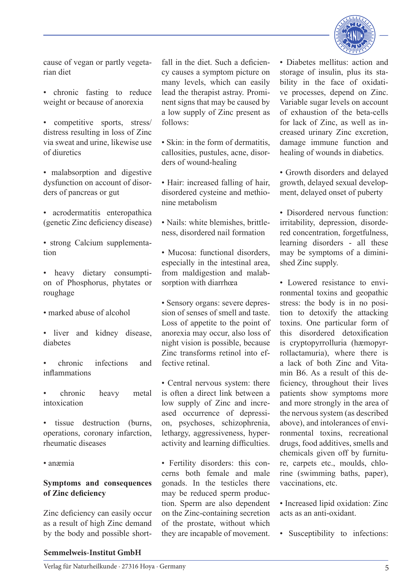

cause of vegan or partly vegetarian diet

• chronic fasting to reduce weight or because of anorexia

• competitive sports, stress/ distress resulting in loss of Zinc via sweat and urine, likewise use of diuretics

• malabsorption and digestive dysfunction on account of disorders of pancreas or gut

• acrodermatitis enteropathica (genetic Zinc deficiency disease)

• strong Calcium supplementation

• heavy dietary consumption of Phosphorus, phytates or roughage

- marked abuse of alcohol
- liver and kidney disease, diabetes

• chronic infections and inflammations

• chronic heavy metal intoxication

• tissue destruction (burns, operations, coronary infarction, rheumatic diseases

• anæmia

### **Symptoms and consequences of Zinc deficiency**

Zinc deficiency can easily occur as a result of high Zinc demand by the body and possible shortfall in the diet. Such a deficiency causes a symptom picture on many levels, which can easily lead the therapist astray. Prominent signs that may be caused by a low supply of Zinc present as follows:

• Skin: in the form of dermatitis. callosities, pustules, acne, disorders of wound-healing

• Hair: increased falling of hair, disordered cysteine and methionine metabolism

• Nails: white blemishes, brittleness, disordered nail formation

• Mucosa: functional disorders especially in the intestinal area, from maldigestion and malabsorption with diarrhœa

• Sensory organs: severe depression of senses of smell and taste. Loss of appetite to the point of anorexia may occur, also loss of night vision is possible, because Zinc transforms retinol into effective retinal.

• Central nervous system: there is often a direct link between a low supply of Zinc and increased occurrence of depression, psychoses, schizophrenia, lethargy, aggressiveness, hyperactivity and learning difficulties.

• Fertility disorders: this concerns both female and male gonads. In the testicles there may be reduced sperm production. Sperm are also dependent on the Zinc-containing secretion of the prostate, without which they are incapable of movement.

• Diabetes mellitus: action and storage of insulin, plus its stability in the face of oxidative processes, depend on Zinc. Variable sugar levels on account of exhaustion of the beta-cells for lack of Zinc, as well as increased urinary Zinc excretion, damage immune function and healing of wounds in diabetics.

• Growth disorders and delayed growth, delayed sexual development, delayed onset of puberty

• Disordered nervous function: irritability, depression, disordered concentration, forgetfulness, learning disorders - all these may be symptoms of a diminished Zinc supply.

• Lowered resistance to environmental toxins and geopathic stress: the body is in no position to detoxify the attacking toxins. One particular form of this disordered detoxification is cryptopyrrolluria (hæmopyrrollactamuria), where there is a lack of both Zinc and Vitamin B6. As a result of this deficiency, throughout their lives patients show symptoms more and more strongly in the area of the nervous system (as described above), and intolerances of environmental toxins, recreational drugs, food additives, smells and chemicals given off by furniture, carpets etc., moulds, chlorine (swimming baths, paper), vaccinations, etc.

• Increased lipid oxidation: Zinc acts as an anti-oxidant.

• Susceptibility to infections:

#### **Semmelweis-Institut GmbH**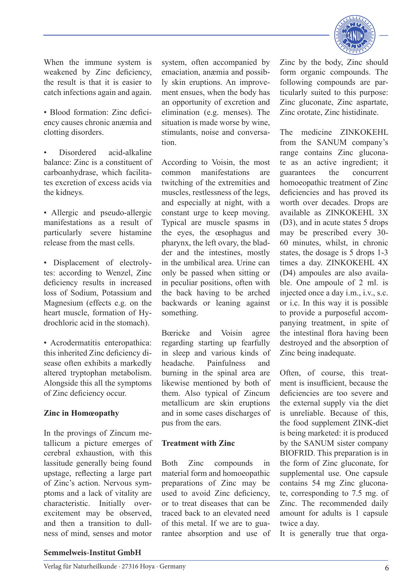

When the immune system is weakened by Zinc deficiency, the result is that it is easier to catch infections again and again.

- Blood formation: Zinc deficiency causes chronic anæmia and clotting disorders.
- Disordered acid-alkaline balance: Zinc is a constituent of carboanhydrase, which facilitates excretion of excess acids via the kidneys.
- Allergic and pseudo-allergic manifestations as a result of particularly severe histamine release from the mast cells.
- Displacement of electrolytes: according to Wenzel, Zinc deficiency results in increased loss of Sodium, Potassium and Magnesium (effects e.g. on the heart muscle, formation of Hydrochloric acid in the stomach).
- Acrodermatitis enteropathica: this inherited Zinc deficiency disease often exhibits a markedly altered tryptophan metabolism. Alongside this all the symptoms of Zinc deficiency occur.

### **Zinc in Homœopathy**

In the provings of Zincum metallicum a picture emerges of cerebral exhaustion, with this lassitude generally being found upstage, reflecting a large part of Zinc's action. Nervous symptoms and a lack of vitality are characteristic. Initially overexcitement may be observed, and then a transition to dullness of mind, senses and motor

system, often accompanied by emaciation, anæmia and possibly skin eruptions. An improvement ensues, when the body has an opportunity of excretion and elimination (e.g. menses). The situation is made worse by wine, stimulants, noise and conversation.

According to Voisin, the most common manifestations are twitching of the extremities and muscles, restlessness of the legs, and especially at night, with a constant urge to keep moving. Typical are muscle spasms in the eyes, the œsophagus and pharynx, the left ovary, the bladder and the intestines, mostly in the umbilical area. Urine can only be passed when sitting or in peculiar positions, often with the back having to be arched backwards or leaning against something.

Bœricke and Voisin agree regarding starting up fearfully in sleep and various kinds of headache. Painfulness and burning in the spinal area are likewise mentioned by both of them. Also typical of Zincum metallicum are skin eruptions and in some cases discharges of pus from the ears.

#### **Treatment with Zinc**

Both Zinc compounds in material form and homoeopathic preparations of Zinc may be used to avoid Zinc deficiency, or to treat diseases that can be traced back to an elevated need of this metal. If we are to guarantee absorption and use of Zinc by the body, Zinc should form organic compounds. The following compounds are particularly suited to this purpose: Zinc gluconate, Zinc aspartate, Zinc orotate, Zinc histidinate.

The medicine ZINKOKEHL from the SANUM company's range contains Zinc gluconate as an active ingredient; it guarantees the concurrent homoeopathic treatment of Zinc deficiencies and has proved its worth over decades. Drops are available as ZINKOKEHL 3X (D3), and in acute states 5 drops may be prescribed every 30- 60 minutes, whilst, in chronic states, the dosage is 5 drops 1-3 times a day. ZINKOKEHL 4X (D4) ampoules are also available. One ampoule of 2 ml. is injected once a day i.m., i.v., s.c. or i.c. In this way it is possible to provide a purposeful accompanying treatment, in spite of the intestinal flora having been destroyed and the absorption of Zinc being inadequate.

Often, of course, this treatment is insufficient, because the deficiencies are too severe and the external supply via the diet is unreliable. Because of this, the food supplement ZINK-diet is being marketed: it is produced by the SANUM sister company BIOFRID. This preparation is in the form of Zinc gluconate, for supplemental use. One capsule contains 54 mg Zinc gluconate, corresponding to 7.5 mg. of Zinc. The recommended daily amount for adults is 1 capsule twice a day.

It is generally true that orga-